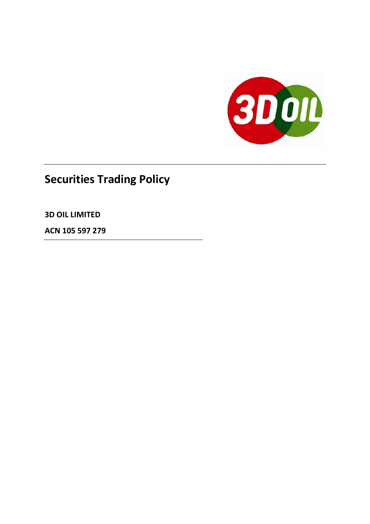

# **Securities Trading Policy**

**3D OIL LIMITED**

**ACN 105 597 279**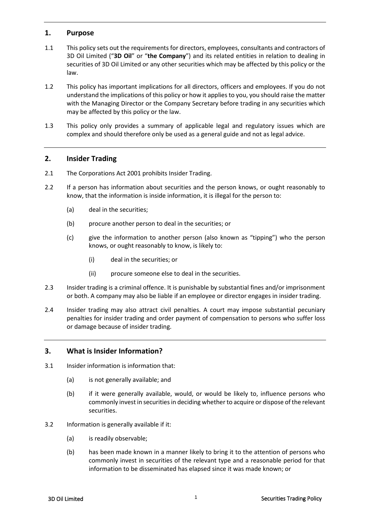#### **1. Purpose**

- 1.1 This policy sets out the requirements for directors, employees, consultants and contractors of 3D Oil Limited ("**3D Oil**" or "**the Company**") and its related entities in relation to dealing in securities of 3D Oil Limited or any other securities which may be affected by this policy or the law.
- 1.2 This policy has important implications for all directors, officers and employees. If you do not understand the implications of this policy or how it applies to you, you should raise the matter with the Managing Director or the Company Secretary before trading in any securities which may be affected by this policy or the law.
- 1.3 This policy only provides a summary of applicable legal and regulatory issues which are complex and should therefore only be used as a general guide and not as legal advice.

#### **2. Insider Trading**

- 2.1 The Corporations Act 2001 prohibits Insider Trading.
- 2.2 If a person has information about securities and the person knows, or ought reasonably to know, that the information is inside information, it is illegal for the person to:
	- (a) deal in the securities;
	- (b) procure another person to deal in the securities; or
	- (c) give the information to another person (also known as "tipping") who the person knows, or ought reasonably to know, is likely to:
		- (i) deal in the securities; or
		- (ii) procure someone else to deal in the securities.
- 2.3 Insider trading is a criminal offence. It is punishable by substantial fines and/or imprisonment or both. A company may also be liable if an employee or director engages in insider trading.
- 2.4 Insider trading may also attract civil penalties. A court may impose substantial pecuniary penalties for insider trading and order payment of compensation to persons who suffer loss or damage because of insider trading.

#### **3. What is Insider Information?**

- 3.1 Insider information is information that:
	- (a) is not generally available; and
	- (b) if it were generally available, would, or would be likely to, influence persons who commonly invest in securities in deciding whether to acquire or dispose of the relevant securities.
- 3.2 Information is generally available if it:
	- (a) is readily observable;
	- (b) has been made known in a manner likely to bring it to the attention of persons who commonly invest in securities of the relevant type and a reasonable period for that information to be disseminated has elapsed since it was made known; or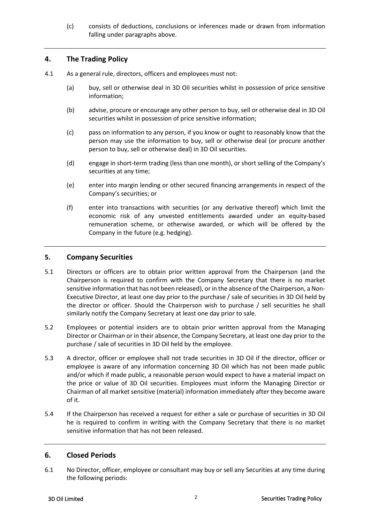(c) consists of deductions, conclusions or inferences made or drawn from information falling under paragraphs above.

#### **4. The Trading Policy**

- 4.1 As a general rule, directors, officers and employees must not:
	- (a) buy, sell or otherwise deal in 3D Oil securities whilst in possession of price sensitive information;
	- (b) advise, procure or encourage any other person to buy, sell or otherwise deal in 3D Oil securities whilst in possession of price sensitive information;
	- (c) pass on information to any person, if you know or ought to reasonably know that the person may use the information to buy, sell or otherwise deal (or procure another person to buy, sell or otherwise deal) in 3D Oil securities.
	- (d) engage in short-term trading (less than one month), or short selling of the Company's securities at any time;
	- (e) enter into margin lending or other secured financing arrangements in respect of the Company's securities; or
	- (f) enter into transactions with securities (or any derivative thereof) which limit the economic risk of any unvested entitlements awarded under an equity-based remuneration scheme, or otherwise awarded, or which will be offered by the Company in the future (e.g. hedging).

#### **5. Company Securities**

- 5.1 Directors or officers are to obtain prior written approval from the Chairperson (and the Chairperson is required to confirm with the Company Secretary that there is no market sensitive information that has not been released), or in the absence of the Chairperson, a Non-Executive Director, at least one day prior to the purchase / sale of securities in 3D Oil held by the director or officer. Should the Chairperson wish to purchase / sell securities he shall similarly notify the Company Secretary at least one day prior to sale.
- 5.2 Employees or potential insiders are to obtain prior written approval from the Managing Director or Chairman or in their absence, the Company Secretary, at least one day prior to the purchase / sale of securities in 3D Oil held by the employee.
- 5.3 A director, officer or employee shall not trade securities in 3D Oil if the director, officer or employee is aware of any information concerning 3D Oil which has not been made public and/or which if made public, a reasonable person would expect to have a material impact on the price or value of 3D Oil securities. Employees must inform the Managing Director or Chairman of all market sensitive (material) information immediately after they become aware of it.
- 5.4 If the Chairperson has received a request for either a sale or purchase of securities in 3D Oil he is required to confirm in writing with the Company Secretary that there is no market sensitive information that has not been released.

#### **6. Closed Periods**

6.1 No Director, officer, employee or consultant may buy or sell any Securities at any time during the following periods: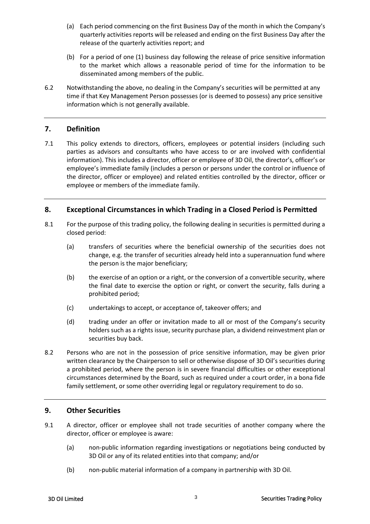- (a) Each period commencing on the first Business Day of the month in which the Company's quarterly activities reports will be released and ending on the first Business Day after the release of the quarterly activities report; and
- (b) For a period of one (1) business day following the release of price sensitive information to the market which allows a reasonable period of time for the information to be disseminated among members of the public.
- 6.2 Notwithstanding the above, no dealing in the Company's securities will be permitted at any time if that Key Management Person possesses (or is deemed to possess) any price sensitive information which is not generally available.

#### **7. Definition**

7.1 This policy extends to directors, officers, employees or potential insiders (including such parties as advisors and consultants who have access to or are involved with confidential information). This includes a director, officer or employee of 3D Oil, the director's, officer's or employee's immediate family (includes a person or persons under the control or influence of the director, officer or employee) and related entities controlled by the director, officer or employee or members of the immediate family.

#### **8. Exceptional Circumstances in which Trading in a Closed Period is Permitted**

- 8.1 For the purpose of this trading policy, the following dealing in securities is permitted during a closed period:
	- (a) transfers of securities where the beneficial ownership of the securities does not change, e.g. the transfer of securities already held into a superannuation fund where the person is the major beneficiary;
	- (b) the exercise of an option or a right, or the conversion of a convertible security, where the final date to exercise the option or right, or convert the security, falls during a prohibited period;
	- (c) undertakings to accept, or acceptance of, takeover offers; and
	- (d) trading under an offer or invitation made to all or most of the Company's security holders such as a rights issue, security purchase plan, a dividend reinvestment plan or securities buy back.
- 8.2 Persons who are not in the possession of price sensitive information, may be given prior written clearance by the Chairperson to sell or otherwise dispose of 3D Oil's securities during a prohibited period, where the person is in severe financial difficulties or other exceptional circumstances determined by the Board, such as required under a court order, in a bona fide family settlement, or some other overriding legal or regulatory requirement to do so.

#### **9. Other Securities**

- 9.1 A director, officer or employee shall not trade securities of another company where the director, officer or employee is aware:
	- (a) non-public information regarding investigations or negotiations being conducted by 3D Oil or any of its related entities into that company; and/or
	- (b) non-public material information of a company in partnership with 3D Oil.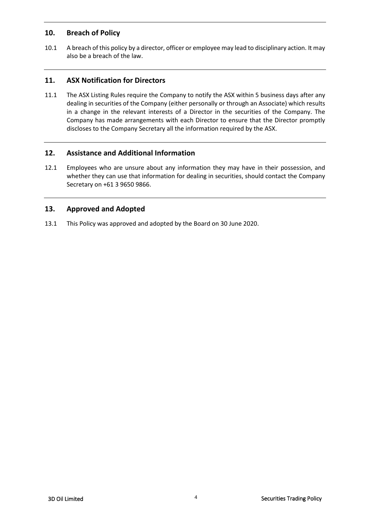### **10. Breach of Policy**

10.1 A breach of this policy by a director, officer or employee may lead to disciplinary action. It may also be a breach of the law.

# **11. ASX Notification for Directors**

11.1 The ASX Listing Rules require the Company to notify the ASX within 5 business days after any dealing in securities of the Company (either personally or through an Associate) which results in a change in the relevant interests of a Director in the securities of the Company. The Company has made arrangements with each Director to ensure that the Director promptly discloses to the Company Secretary all the information required by the ASX.

### **12. Assistance and Additional Information**

12.1 Employees who are unsure about any information they may have in their possession, and whether they can use that information for dealing in securities, should contact the Company Secretary on +61 3 9650 9866.

## **13. Approved and Adopted**

13.1 This Policy was approved and adopted by the Board on 30 June 2020.